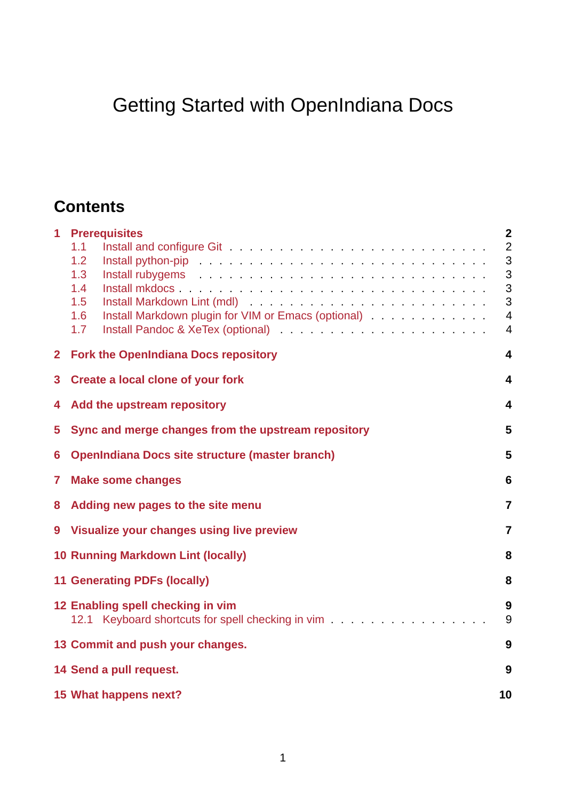# Getting Started with OpenIndiana Docs

## **Contents**

|                | 1 Prerequisites<br>1.1<br>1.2<br>Install python-pip (experience of the contract of the contract of the contract of the contract of the contract of the contract of the contract of the contract of the contract of the contract of the contract of the contract<br>1.3<br>Install rubygems and a subsequently as a subsequently contact that is a subsequently contact that is a subsequently contact that is a subsequently contact that is a subsequently contact that is a subsequently contact that<br>1.4<br>1.5<br>Install Markdown plugin for VIM or Emacs (optional)<br>1.6<br>1.7 | $\overline{2}$<br>$\overline{2}$<br>3<br>3<br>3<br>3<br>$\overline{4}$<br>$\overline{4}$ |
|----------------|--------------------------------------------------------------------------------------------------------------------------------------------------------------------------------------------------------------------------------------------------------------------------------------------------------------------------------------------------------------------------------------------------------------------------------------------------------------------------------------------------------------------------------------------------------------------------------------------|------------------------------------------------------------------------------------------|
| $\overline{2}$ | <b>Fork the OpenIndiana Docs repository</b>                                                                                                                                                                                                                                                                                                                                                                                                                                                                                                                                                | 4                                                                                        |
| 3              | <b>Create a local clone of your fork</b><br>4                                                                                                                                                                                                                                                                                                                                                                                                                                                                                                                                              |                                                                                          |
| 4              | Add the upstream repository                                                                                                                                                                                                                                                                                                                                                                                                                                                                                                                                                                | 4                                                                                        |
| 5              | Sync and merge changes from the upstream repository<br>5                                                                                                                                                                                                                                                                                                                                                                                                                                                                                                                                   |                                                                                          |
| 6              | <b>OpenIndiana Docs site structure (master branch)</b><br>5                                                                                                                                                                                                                                                                                                                                                                                                                                                                                                                                |                                                                                          |
| 7              | <b>Make some changes</b><br>$6\phantom{1}6$                                                                                                                                                                                                                                                                                                                                                                                                                                                                                                                                                |                                                                                          |
| 8              | Adding new pages to the site menu                                                                                                                                                                                                                                                                                                                                                                                                                                                                                                                                                          |                                                                                          |
|                | 9 Visualize your changes using live preview                                                                                                                                                                                                                                                                                                                                                                                                                                                                                                                                                | $\overline{7}$                                                                           |
|                | <b>10 Running Markdown Lint (locally)</b>                                                                                                                                                                                                                                                                                                                                                                                                                                                                                                                                                  | 8                                                                                        |
|                | <b>11 Generating PDFs (locally)</b>                                                                                                                                                                                                                                                                                                                                                                                                                                                                                                                                                        | 8                                                                                        |
|                | 12 Enabling spell checking in vim<br>12.1 Keyboard shortcuts for spell checking in vim                                                                                                                                                                                                                                                                                                                                                                                                                                                                                                     | 9<br>9                                                                                   |
|                | 13 Commit and push your changes.                                                                                                                                                                                                                                                                                                                                                                                                                                                                                                                                                           | 9                                                                                        |
|                | 14 Send a pull request.                                                                                                                                                                                                                                                                                                                                                                                                                                                                                                                                                                    | 9                                                                                        |
|                | 15 What happens next?                                                                                                                                                                                                                                                                                                                                                                                                                                                                                                                                                                      | 10                                                                                       |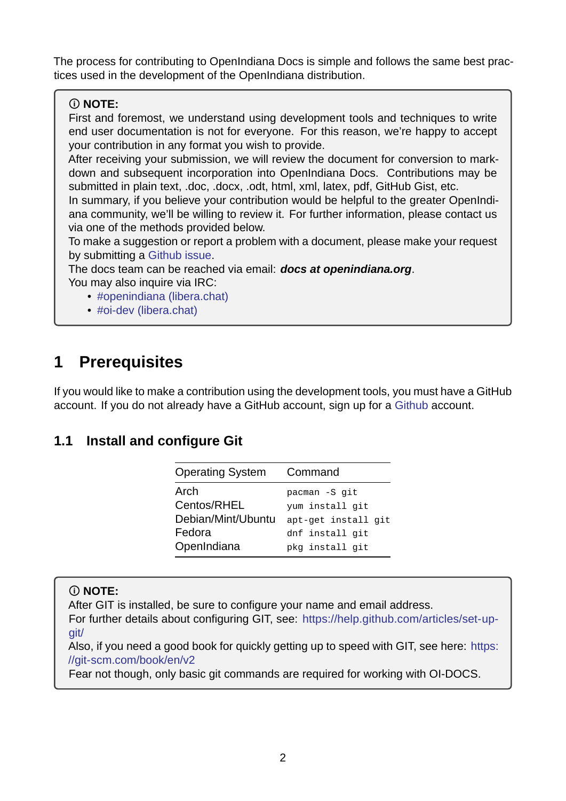The process for contributing to OpenIndiana Docs is simple and follows the same best practices used in the development of the OpenIndiana distribution.

### **NOTE:**

First and foremost, we understand using development tools and techniques to write end user documentation is not for everyone. For this reason, we're happy to accept your contribution in any format you wish to provide.

After receiving your submission, we will review the document for conversion to markdown and subsequent incorporation into OpenIndiana Docs. Contributions may be submitted in plain text, .doc, .docx, .odt, html, xml, latex, pdf, GitHub Gist, etc.

In summary, if you believe your contribution would be helpful to the greater OpenIndiana community, we'll be willing to review it. For further information, please contact us via one of the methods provided below.

To make a suggestion or report a problem with a document, please make your request by submitting a Github issue.

The docs team can be reached via email: *docs at openindiana.org*. You may also inquire via IRC:

- #openindi[ana \(libera.ch](https://github.com/OpenIndiana/oi-docs/issues)at)
- $\bullet$  #oi-dev (libera.chat)

## **1 Pr[erequisites](irc://irc.libera.chat/oi-dev)**

<span id="page-1-0"></span>If you would like to make a contribution using the development tools, you must have a GitHub account. If you do not already have a GitHub account, sign up for a Github account.

### <span id="page-1-1"></span>**1.1 Install and configure Git**

| Command             |
|---------------------|
| pacman -S git       |
| yum install git     |
| apt-get install git |
| dnf install git     |
| pkg install git     |
|                     |

### **NOTE:**

After GIT is installed, be sure to configure your name and email address.

For further details about configuring GIT, see: https://help.github.com/articles/set-upgit/

Also, if you need a good book for quickly getting up to speed with GIT, see here: https: //git-scm.com/book/en/v2

[Fea](https://help.github.com/articles/set-up-git/)r not though, only basic git commands are required for working with OI-DOCS.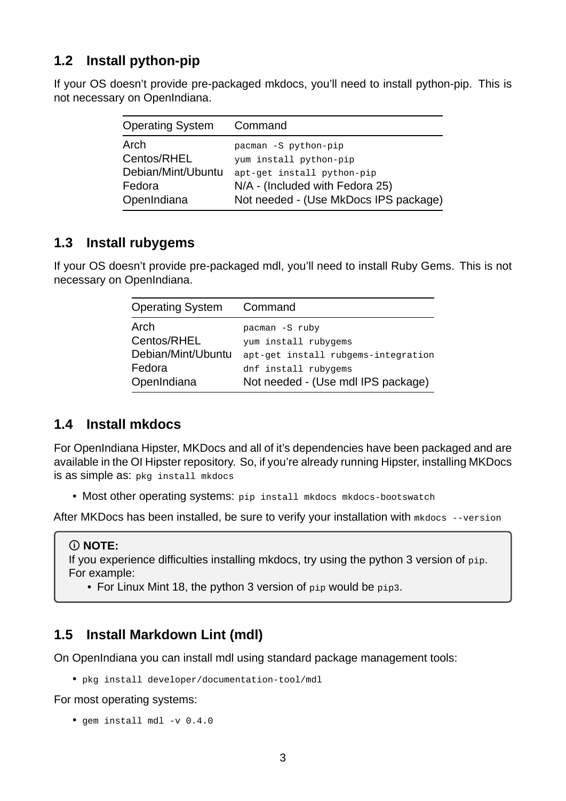### <span id="page-2-0"></span>**1.2 Install python-pip**

If your OS doesn't provide pre-packaged mkdocs, you'll need to install python-pip. This is not necessary on OpenIndiana.

| <b>Operating System</b> | Command                               |
|-------------------------|---------------------------------------|
| Arch                    | pacman -S python-pip                  |
| Centos/RHEL             | yum install python-pip                |
| Debian/Mint/Ubuntu      | apt-get install python-pip            |
| Fedora                  | N/A - (Included with Fedora 25)       |
| OpenIndiana             | Not needed - (Use MkDocs IPS package) |

### <span id="page-2-1"></span>**1.3 Install rubygems**

If your OS doesn't provide pre-packaged mdl, you'll need to install Ruby Gems. This is not necessary on OpenIndiana.

| <b>Operating System</b> | Command                             |
|-------------------------|-------------------------------------|
| Arch                    | pacman -S ruby                      |
| Centos/RHEL             | yum install rubygems                |
| Debian/Mint/Ubuntu      | apt-get install rubgems-integration |
| Fedora                  | dnf install rubygems                |
| OpenIndiana             | Not needed - (Use mdl IPS package)  |

### <span id="page-2-2"></span>**1.4 Install mkdocs**

For OpenIndiana Hipster, MKDocs and all of it's dependencies have been packaged and are available in the OI Hipster repository. So, if you're already running Hipster, installing MKDocs is as simple as: pkg install mkdocs

• Most other operating systems: pip install mkdocs mkdocs-bootswatch

After MKDocs has been installed, be sure to verify your installation with mkdocs --version

#### **NOTE:**

If you experience difficulties installing mkdocs, try using the python 3 version of pip. For example:

• For Linux Mint 18, the python 3 version of pip would be pip3.

### <span id="page-2-4"></span><span id="page-2-3"></span>**1.5 Install Markdown Lint (mdl)**

On OpenIndiana you can install mdl using standard package management tools:

• pkg install developer/documentation-tool/mdl

For most operating systems:

 $\bullet$  gem install mdl -v 0.4.0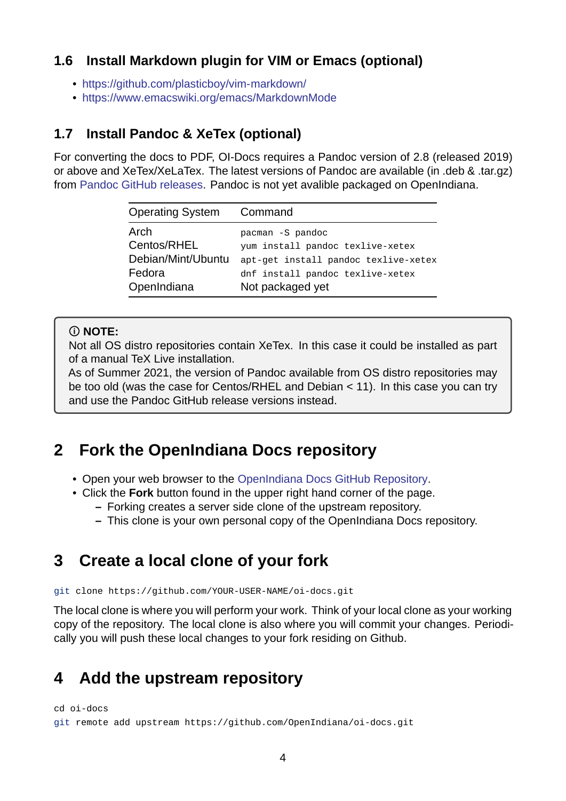### **1.6 Install Markdown plugin for VIM or Emacs (optional)**

- https://github.com/plasticboy/vim-markdown/
- <span id="page-3-0"></span>• https://www.emacswiki.org/emacs/MarkdownMode

### **1.7 [Install Pandoc & XeTex \(optional\)](https://github.com/plasticboy/vim-markdown/)**

<span id="page-3-1"></span>For converting the docs to PDF, OI-Docs requires a Pandoc version of 2.8 (released 2019) or above and XeTex/XeLaTex. The latest versions of Pandoc are available (in .deb & .tar.gz) from Pandoc GitHub releases. Pandoc is not yet avalible packaged on OpenIndiana.

| <b>Operating System</b> | Command                              |
|-------------------------|--------------------------------------|
| Arch                    | pacman -S pandoc                     |
| Centos/RHEL             | yum install pandoc texlive-xetex     |
| Debian/Mint/Ubuntu      | apt-get install pandoc texlive-xetex |
| Fedora                  | dnf install pandoc texlive-xetex     |
| OpenIndiana             | Not packaged yet                     |

#### **NOTE:**

Not all OS distro repositories contain XeTex. In this case it could be installed as part of a manual TeX Live installation.

As of Summer 2021, the version of Pandoc available from OS distro repositories may be too old (was the case for Centos/RHEL and Debian < 11). In this case you can try and use the Pandoc GitHub release versions instead.

### **2 Fork the OpenIndiana Docs repository**

- <span id="page-3-2"></span>• Open your web browser to the OpenIndiana Docs GitHub Repository.
- Click the **Fork** button found in the upper right hand corner of the page.
	- **–** Forking creates a server side clone of the upstream repository.
	- **–** This clone is your own pe[rsonal copy of the OpenIndiana Docs r](https://github.com/OpenIndiana/oi-docs)epository.

### **3 Create a local clone of your fork**

<span id="page-3-3"></span>git clone https://github.com/YOUR-USER-NAME/oi-docs.git

The local clone is where you will perform your work. Think of your local clone as your working copy of the repository. The local clone is also where you will commit your changes. Periodically you will push these local changes to your fork residing on Github.

### **4 Add the upstream repository**

<span id="page-3-4"></span>cd oi-docs

git remote add upstream https://github.com/OpenIndiana/oi-docs.git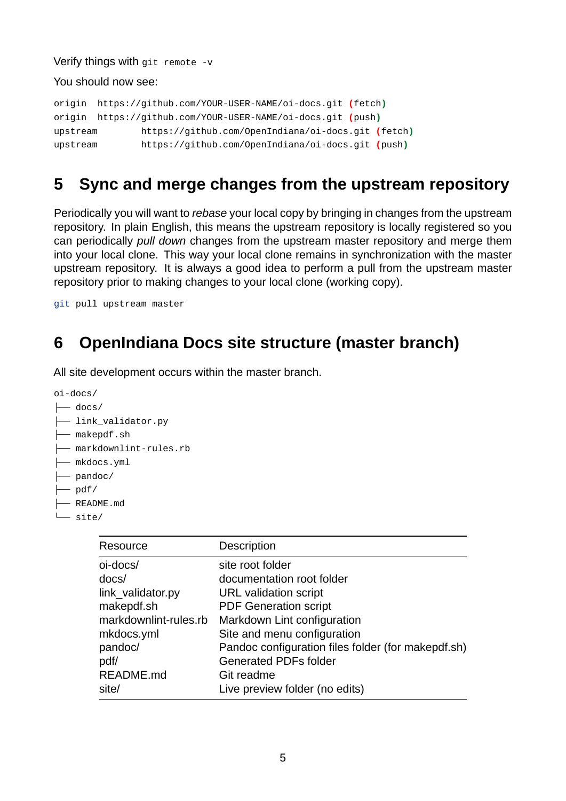Verify things with git remote  $-v$ 

You should now see:

```
origin https://github.com/YOUR-USER-NAME/oi-docs.git (fetch)
origin https://github.com/YOUR-USER-NAME/oi-docs.git (push)
upstream https://github.com/OpenIndiana/oi-docs.git (fetch)
upstream https://github.com/OpenIndiana/oi-docs.git (push)
```
## <span id="page-4-0"></span>**5 Sync and merge changes from the upstream repository**

Periodically you will want to *rebase* your local copy by bringing in changes from the upstream repository. In plain English, this means the upstream repository is locally registered so you can periodically *pull down* changes from the upstream master repository and merge them into your local clone. This way your local clone remains in synchronization with the master upstream repository. It is always a good idea to perform a pull from the upstream master repository prior to making changes to your local clone (working copy).

git pull upstream master

### <span id="page-4-1"></span>**6 OpenIndiana Docs site structure (master branch)**

All site development occurs within the master branch.

```
oi-docs/
```
- ├── docs/
- ├── link\_validator.py
- ├── makepdf.sh
- ├── markdownlint-rules.rb
- ├── mkdocs.yml
- $-$  pandoc/
- $\longmapsto$  pdf/
- ├── README.md
- └── site/

| Resource              | Description                                        |
|-----------------------|----------------------------------------------------|
| oi-docs/              | site root folder                                   |
| docs/                 | documentation root folder                          |
| link validator.py     | URL validation script                              |
| makepdf.sh            | <b>PDF Generation script</b>                       |
| markdownlint-rules.rb | Markdown Lint configuration                        |
| mkdocs.yml            | Site and menu configuration                        |
| pandoc/               | Pandoc configuration files folder (for makepdf.sh) |
| pdf/                  | <b>Generated PDFs folder</b>                       |
| README.md             | Git readme                                         |
| site/                 | Live preview folder (no edits)                     |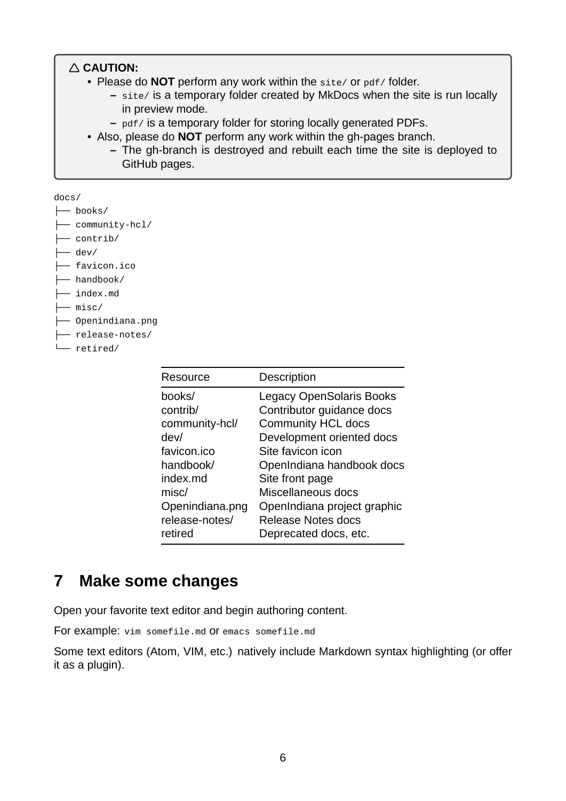#### **CAUTION:**

- Please do **NOT** perform any work within the site/ or pdf/ folder.
	- **–** site/ is a temporary folder created by MkDocs when the site is run locally in preview mode.
	- **–** pdf/ is a temporary folder for storing locally generated PDFs.
- Also, please do **NOT** perform any work within the gh-pages branch.
	- The gh-branch is destroyed and rebuilt each time the site is deployed to GitHub pages.

docs/

- ├── books/ ├── community-hcl/
- ├── contrib/

 $-$  dev/

- ├── favicon.ico
- ├── handbook/
- ├── index.md
- ├── misc/
- ├── Openindiana.png
- ├── release-notes/
- └── retired/

| Resource        | Description                     |
|-----------------|---------------------------------|
| books/          | <b>Legacy OpenSolaris Books</b> |
| contrib/        | Contributor guidance docs       |
| community-hcl/  | <b>Community HCL docs</b>       |
| dev/            | Development oriented docs       |
| favicon.ico     | Site favicon icon               |
| handbook/       | OpenIndiana handbook docs       |
| index.md        | Site front page                 |
| misc/           | Miscellaneous docs              |
| Openindiana.png | OpenIndiana project graphic     |
| release-notes/  | <b>Release Notes docs</b>       |
| retired         | Deprecated docs, etc.           |

## <span id="page-5-0"></span>**7 Make some changes**

Open your favorite text editor and begin authoring content.

For example: vim somefile.md or emacs somefile.md

Some text editors (Atom, VIM, etc.) natively include Markdown syntax highlighting (or offer it as a plugin).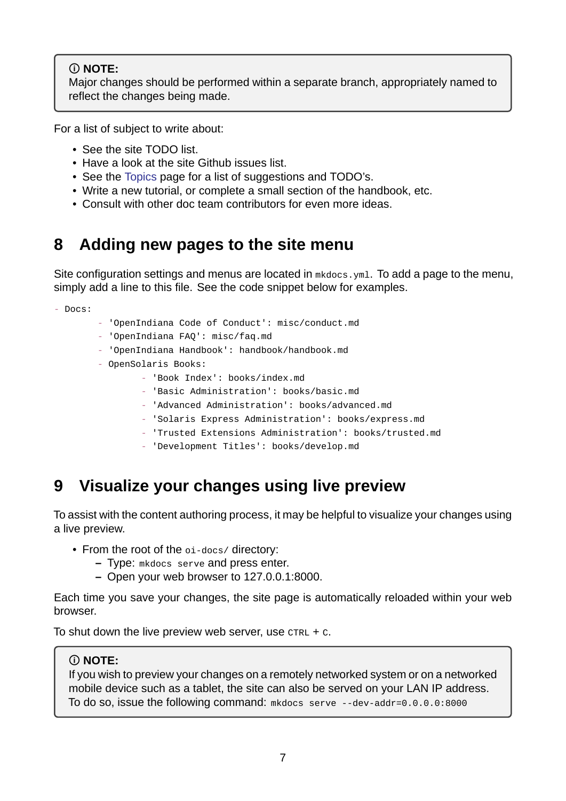#### **NOTE:**

Major changes should be performed within a separate branch, appropriately named to reflect the changes being made.

For a list of subject to write about:

- See the site TODO list.
- Have a look at the site Github issues list.
- See the Topics page for a list of suggestions and TODO's.
- Write a new tutorial, or complete a small section of the handbook, etc.
- Consult with other doc team contributors for even more ideas.

### **8 Adding new pages to the site menu**

<span id="page-6-0"></span>Site configuration settings and menus are located in mkdocs.yml. To add a page to the menu, simply add a line to this file. See the code snippet below for examples.

- Docs:

- 'OpenIndiana Code of Conduct': misc/conduct.md
- 'OpenIndiana FAQ': misc/faq.md
- 'OpenIndiana Handbook': handbook/handbook.md
- OpenSolaris Books:
	- 'Book Index': books/index.md
	- 'Basic Administration': books/basic.md
	- 'Advanced Administration': books/advanced.md
	- 'Solaris Express Administration': books/express.md
	- 'Trusted Extensions Administration': books/trusted.md
	- 'Development Titles': books/develop.md

## **9 Visualize your changes using live preview**

<span id="page-6-1"></span>To assist with the content authoring process, it may be helpful to visualize your changes using a live preview.

- From the root of the oi-docs/ directory:
	- **–** Type: mkdocs serve and press enter.
	- **–** Open your web browser to 127.0.0.1:8000.

Each time you save your changes, the site page is automatically reloaded within your web browser.

To shut down the live preview web server, use  $CTRL + C$ .

#### **NOTE:**

If you wish to preview your changes on a remotely networked system or on a networked mobile device such as a tablet, the site can also be served on your LAN IP address. To do so, issue the following command:  $m$ kdocs serve  $-$ -dev-addr=0.0.0.0:8000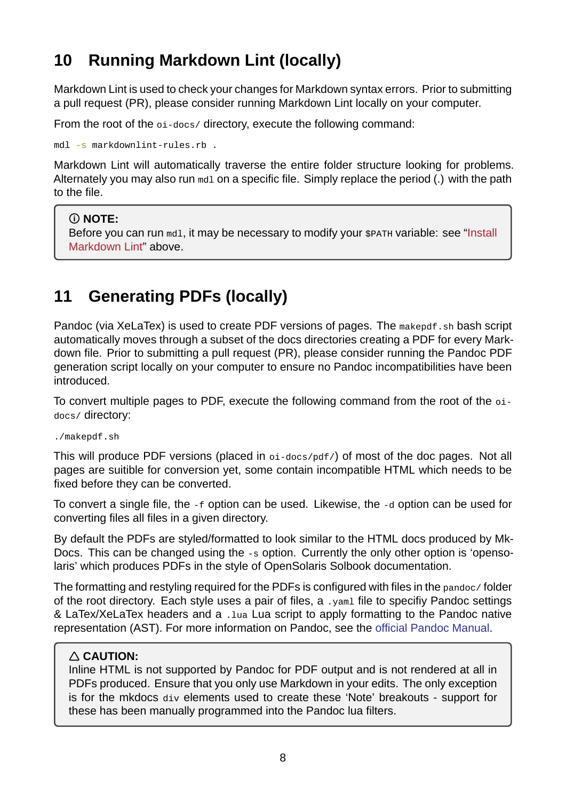## **10 Running Markdown Lint (locally)**

Markdown Lint is used to check your changes for Markdown syntax errors. Prior to submitting a pull request (PR), please consider running Markdown Lint locally on your computer.

<span id="page-7-0"></span>From the root of the  $o_i-docs/$  directory, execute the following command:

 $mdl -s$  markdownlint-rules.rb.

Markdown Lint will automatically traverse the entire folder structure looking for problems. Alternately you may also run met on a specific file. Simply replace the period (.) with the path to the file.

#### **NOTE:**

Before you can run mdl, it may be necessary to modify your \$PATH variable: see "Install Markdown Lint" above.

## **1[1 Genera](#page-2-4)ting PDFs (locally)**

<span id="page-7-1"></span>Pandoc (via XeLaTex) is used to create PDF versions of pages. The makepdf.sh bash script automatically moves through a subset of the docs directories creating a PDF for every Markdown file. Prior to submitting a pull request (PR), please consider running the Pandoc PDF generation script locally on your computer to ensure no Pandoc incompatibilities have been introduced.

To convert multiple pages to PDF, execute the following command from the root of the oidocs/ directory:

./makepdf.sh

This will produce PDF versions (placed in  $o_i$ -docs/pdf/) of most of the doc pages. Not all pages are suitible for conversion yet, some contain incompatible HTML which needs to be fixed before they can be converted.

To convert a single file, the -f option can be used. Likewise, the -d option can be used for converting files all files in a given directory.

By default the PDFs are styled/formatted to look similar to the HTML docs produced by Mk-Docs. This can be changed using the -s option. Currently the only other option is 'opensolaris' which produces PDFs in the style of OpenSolaris Solbook documentation.

The formatting and restyling required for the PDFs is configured with files in the pandoc/ folder of the root directory. Each style uses a pair of files, a .yaml file to specifiy Pandoc settings & LaTex/XeLaTex headers and a .lua Lua script to apply formatting to the Pandoc native representation (AST). For more information on Pandoc, see the official Pandoc Manual.

### **CAUTION:**

Inline HTML is not supported by Pandoc for PDF output an[d is not rendered at all i](https://pandoc.org/MANUAL.html)n PDFs produced. Ensure that you only use Markdown in your edits. The only exception is for the mkdocs div elements used to create these 'Note' breakouts - support for these has been manually programmed into the Pandoc lua filters.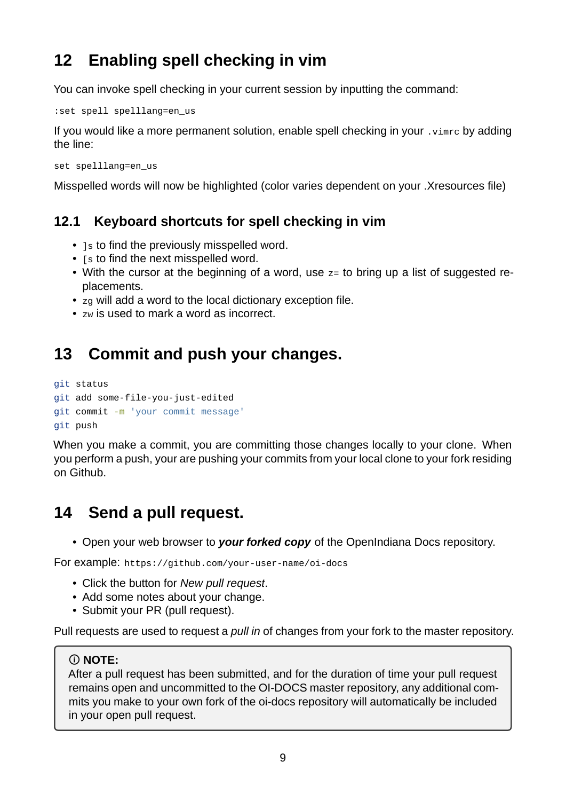## <span id="page-8-0"></span>**12 Enabling spell checking in vim**

You can invoke spell checking in your current session by inputting the command:

```
:set spell spelllang=en_us
```
If you would like a more permanent solution, enable spell checking in your .vimrc by adding the line:

set spelllang=en\_us

Misspelled words will now be highlighted (color varies dependent on your .Xresources file)

### <span id="page-8-1"></span>**12.1 Keyboard shortcuts for spell checking in vim**

- 1s to find the previously misspelled word.
- [s to find the next misspelled word.
- With the cursor at the beginning of a word, use z= to bring up a list of suggested replacements.
- zg will add a word to the local dictionary exception file.
- zw is used to mark a word as incorrect.

## <span id="page-8-2"></span>**13 Commit and push your changes.**

```
git status
```

```
git add some-file-you-just-edited
```

```
git commit -m 'your commit message'
```

```
git push
```
When you make a commit, you are committing those changes locally to your clone. When you perform a push, your are pushing your commits from your local clone to your fork residing on Github.

## **14 Send a pull request.**

• Open your web browser to *your forked copy* of the OpenIndiana Docs repository.

For example: https://github.com/your-user-name/oi-docs

- Click the button for *New pull request*.
- Add some notes about your change.
- Submit your PR (pull request).

Pull requests are used to request a *pull in* of changes from your fork to the master repository.

#### **NOTE:**

After a pull request has been submitted, and for the duration of time your pull request remains open and uncommitted to the OI-DOCS master repository, any additional commits you make to your own fork of the oi-docs repository will automatically be included in your open pull request.